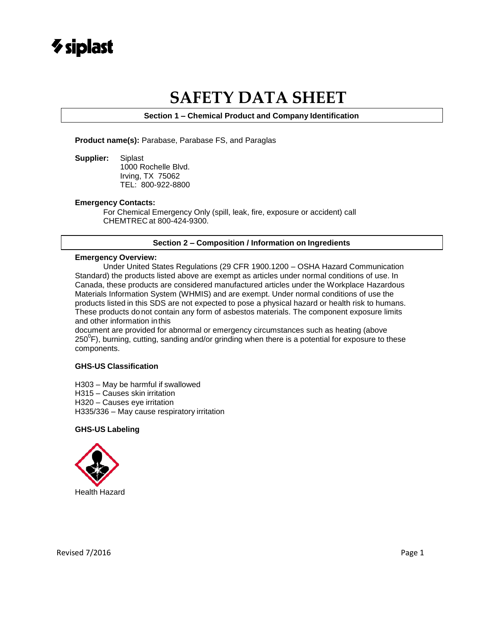

# **SAFETY DATA SHEET**

**Section 1 – Chemical Product and Company Identification**

**Product name(s):** Parabase, Parabase FS, and Paraglas

**Supplier:** Siplast 1000 Rochelle Blvd. Irving, TX 75062 TEL: 800-922-8800

### **Emergency Contacts:**

For Chemical Emergency Only (spill, leak, fire, exposure or accident) call CHEMTREC at 800-424-9300.

### **Section 2 – Composition / Information on Ingredients**

### **Emergency Overview:**

Under United States Regulations (29 CFR 1900.1200 – OSHA Hazard Communication Standard) the products listed above are exempt as articles under normal conditions of use. In Canada, these products are considered manufactured articles under the Workplace Hazardous Materials Information System (WHMIS) and are exempt. Under normal conditions of use the products listed in this SDS are not expected to pose a physical hazard or health risk to humans. These products do not contain any form of asbestos materials. The component exposure limits and other information inthis

document are provided for abnormal or emergency circumstances such as heating (above  $250^{\circ}$ F), burning, cutting, sanding and/or grinding when there is a potential for exposure to these components.

### **GHS-US Classification**

H303 – May be harmful if swallowed H315 – Causes skin irritation H320 – Causes eye irritation H335/336 – May cause respiratory irritation

### **GHS-US Labeling**

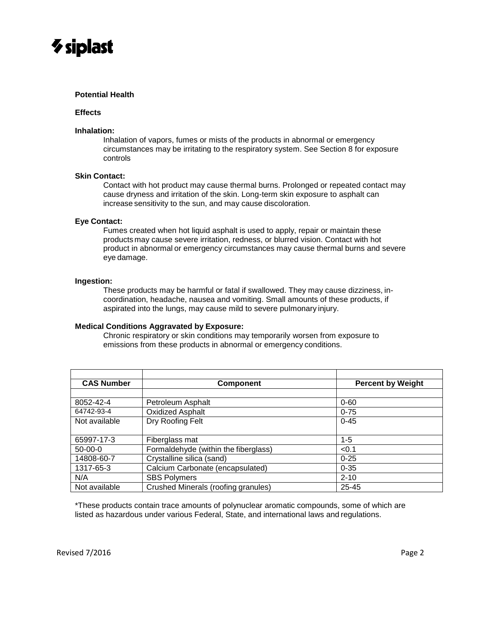

### **Potential Health**

### **Effects**

### **Inhalation:**

Inhalation of vapors, fumes or mists of the products in abnormal or emergency circumstances may be irritating to the respiratory system. See Section 8 for exposure controls

### **Skin Contact:**

Contact with hot product may cause thermal burns. Prolonged or repeated contact may cause dryness and irritation of the skin. Long-term skin exposure to asphalt can increase sensitivity to the sun, and may cause discoloration.

### **Eye Contact:**

Fumes created when hot liquid asphalt is used to apply, repair or maintain these products may cause severe irritation, redness, or blurred vision. Contact with hot product in abnormal or emergency circumstances may cause thermal burns and severe eye damage.

### **Ingestion:**

These products may be harmful or fatal if swallowed. They may cause dizziness, incoordination, headache, nausea and vomiting. Small amounts of these products, if aspirated into the lungs, may cause mild to severe pulmonary injury.

### **Medical Conditions Aggravated by Exposure:**

Chronic respiratory or skin conditions may temporarily worsen from exposure to emissions from these products in abnormal or emergency conditions.

| <b>CAS Number</b> | <b>Component</b>                     | <b>Percent by Weight</b> |
|-------------------|--------------------------------------|--------------------------|
|                   |                                      |                          |
| 8052-42-4         | Petroleum Asphalt                    | $0 - 60$                 |
| 64742-93-4        | <b>Oxidized Asphalt</b>              | $0 - 75$                 |
| Not available     | Dry Roofing Felt                     | $0 - 45$                 |
|                   |                                      |                          |
| 65997-17-3        | Fiberglass mat                       | $1 - 5$                  |
| $50-00-0$         | Formaldehyde (within the fiberglass) | < 0.1                    |
| 14808-60-7        | Crystalline silica (sand)            | $0 - 25$                 |
| 1317-65-3         | Calcium Carbonate (encapsulated)     | $0 - 35$                 |
| N/A               | <b>SBS Polymers</b>                  | $2 - 10$                 |
| Not available     | Crushed Minerals (roofing granules)  | 25-45                    |

\*These products contain trace amounts of polynuclear aromatic compounds, some of which are listed as hazardous under various Federal, State, and international laws and regulations.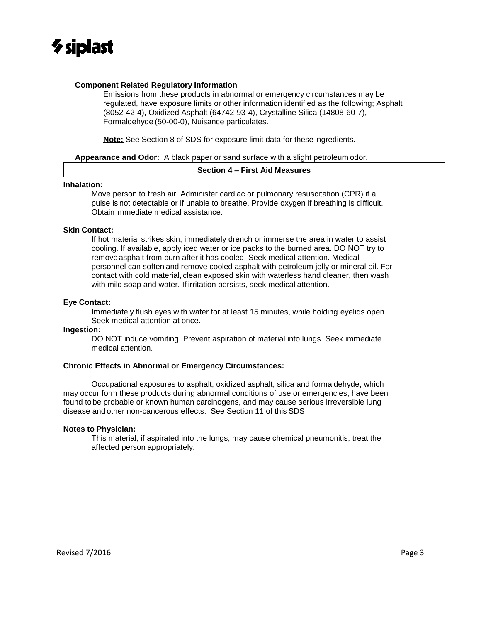

### **Component Related Regulatory Information**

Emissions from these products in abnormal or emergency circumstances may be regulated, have exposure limits or other information identified as the following; Asphalt (8052-42-4), Oxidized Asphalt (64742-93-4), Crystalline Silica (14808-60-7), Formaldehyde (50-00-0), Nuisance particulates.

**Note;** See Section 8 of SDS for exposure limit data for these ingredients.

**Appearance and Odor:** A black paper or sand surface with a slight petroleum odor.

### **Section 4 – First Aid Measures**

### **Inhalation:**

Move person to fresh air. Administer cardiac or pulmonary resuscitation (CPR) if a pulse is not detectable or if unable to breathe. Provide oxygen if breathing is difficult. Obtain immediate medical assistance.

### **Skin Contact:**

If hot material strikes skin, immediately drench or immerse the area in water to assist cooling. If available, apply iced water or ice packs to the burned area. DO NOT try to remove asphalt from burn after it has cooled. Seek medical attention. Medical personnel can soften and remove cooled asphalt with petroleum jelly or mineral oil. For contact with cold material, clean exposed skin with waterless hand cleaner, then wash with mild soap and water. If irritation persists, seek medical attention.

### **Eye Contact:**

Immediately flush eyes with water for at least 15 minutes, while holding eyelids open. Seek medical attention at once.

### **Ingestion:**

DO NOT induce vomiting. Prevent aspiration of material into lungs. Seek immediate medical attention.

### **Chronic Effects in Abnormal or Emergency Circumstances:**

Occupational exposures to asphalt, oxidized asphalt, silica and formaldehyde, which may occur form these products during abnormal conditions of use or emergencies, have been found to be probable or known human carcinogens, and may cause serious irreversible lung disease and other non-cancerous effects. See Section 11 of this SDS

### **Notes to Physician:**

This material, if aspirated into the lungs, may cause chemical pneumonitis; treat the affected person appropriately.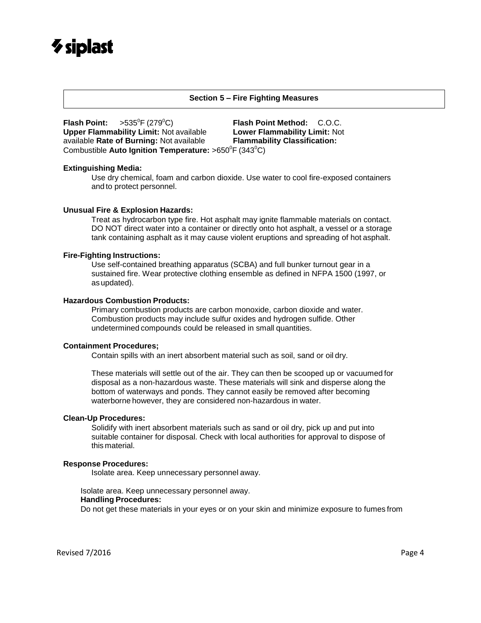# $\gamma$  siplast

### **Section 5 – Fire Fighting Measures**

**Flash Point:**  $>535^{\circ}F(279^{\circ}C)$  **Flash Point Method:** C.O.C. **Upper Flammability Limit:** Not available **Lower Flammability Limit:** Not available **Rate of Burning:** Not available **Flammability Classification:** Combustible **Auto Ignition Temperature:** >650<sup>°</sup>F (343<sup>°</sup>C)

### **Extinguishing Media:**

Use dry chemical, foam and carbon dioxide. Use water to cool fire-exposed containers and to protect personnel.

### **Unusual Fire & Explosion Hazards:**

Treat as hydrocarbon type fire. Hot asphalt may ignite flammable materials on contact. DO NOT direct water into a container or directly onto hot asphalt, a vessel or a storage tank containing asphalt as it may cause violent eruptions and spreading of hot asphalt.

### **Fire-Fighting Instructions:**

Use self-contained breathing apparatus (SCBA) and full bunker turnout gear in a sustained fire. Wear protective clothing ensemble as defined in NFPA 1500 (1997, or asupdated).

### **Hazardous Combustion Products:**

Primary combustion products are carbon monoxide, carbon dioxide and water. Combustion products may include sulfur oxides and hydrogen sulfide. Other undetermined compounds could be released in small quantities.

### **Containment Procedures;**

Contain spills with an inert absorbent material such as soil, sand or oil dry.

These materials will settle out of the air. They can then be scooped up or vacuumed for disposal as a non-hazardous waste. These materials will sink and disperse along the bottom of waterways and ponds. They cannot easily be removed after becoming waterborne however, they are considered non-hazardous in water.

### **Clean-Up Procedures:**

Solidify with inert absorbent materials such as sand or oil dry, pick up and put into suitable container for disposal. Check with local authorities for approval to dispose of this material.

### **Response Procedures:**

Isolate area. Keep unnecessary personnel away.

### Isolate area. Keep unnecessary personnel away.

### **Handling Procedures:**

Do not get these materials in your eyes or on your skin and minimize exposure to fumes from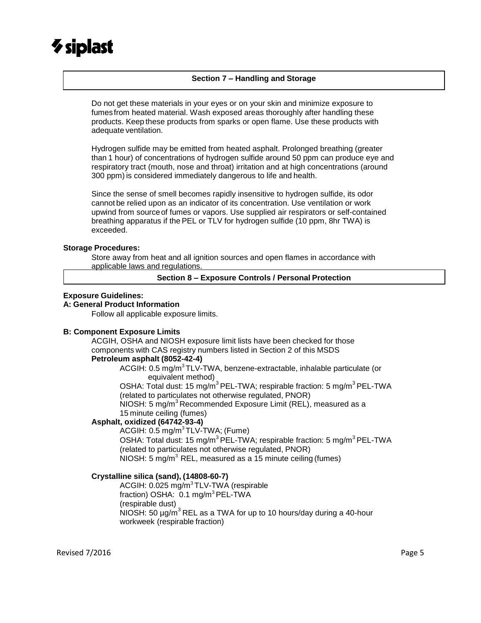# $\gamma$  siplast

### **Section 7 – Handling and Storage**

Do not get these materials in your eyes or on your skin and minimize exposure to fumesfrom heated material. Wash exposed areas thoroughly after handling these products. Keep these products from sparks or open flame. Use these products with adequate ventilation.

Hydrogen sulfide may be emitted from heated asphalt. Prolonged breathing (greater than 1 hour) of concentrations of hydrogen sulfide around 50 ppm can produce eye and respiratory tract (mouth, nose and throat) irritation and at high concentrations (around 300 ppm) is considered immediately dangerous to life and health.

Since the sense of smell becomes rapidly insensitive to hydrogen sulfide, its odor cannot be relied upon as an indicator of its concentration. Use ventilation or work upwind from source of fumes or vapors. Use supplied air respirators or self-contained breathing apparatus if the PEL or TLV for hydrogen sulfide (10 ppm, 8hr TWA) is exceeded.

### **Storage Procedures:**

Store away from heat and all ignition sources and open flames in accordance with applicable laws and regulations.

**Section 8 – Exposure Controls / Personal Protection**

### **Exposure Guidelines:**

### **A: General Product Information**

Follow all applicable exposure limits.

### **B: Component Exposure Limits**

ACGIH, OSHA and NIOSH exposure limit lists have been checked for those components with CAS registry numbers listed in Section 2 of this MSDS **Petroleum asphalt (8052-42-4)**

ACGIH: 0.5 mg/m<sup>3</sup>TLV-TWA, benzene-extractable, inhalable particulate (or equivalent method)

OSHA: Total dust: 15 mg/m<sup>3</sup> PEL-TWA; respirable fraction: 5 mg/m<sup>3</sup> PEL-TWA (related to particulates not otherwise regulated, PNOR)

NIOSH: 5 mg/m<sup>3</sup> Recommended Exposure Limit (REL), measured as a 15 minute ceiling (fumes)

### **Asphalt, oxidized (64742-93-4)**

ACGIH: 0.5 mg/m<sup>3</sup>TLV-TWA; (Fume) OSHA: Total dust: 15 mg/m<sup>3</sup> PEL-TWA; respirable fraction: 5 mg/m<sup>3</sup> PEL-TWA (related to particulates not otherwise regulated, PNOR)  $NIOSH: 5 mg/m<sup>3</sup> REL$ , measured as a 15 minute ceiling (fumes)

### **Crystalline silica (sand), (14808-60-7)**

ACGIH: 0.025 mg/m<sup>3</sup>TLV-TWA (respirable fraction) OSHA: 0.1 mg/m<sup>3</sup> PEL-TWA (respirable dust) NIOSH: 50  $\mu$ g/m<sup>3</sup> REL as a TWA for up to 10 hours/day during a 40-hour workweek (respirable fraction)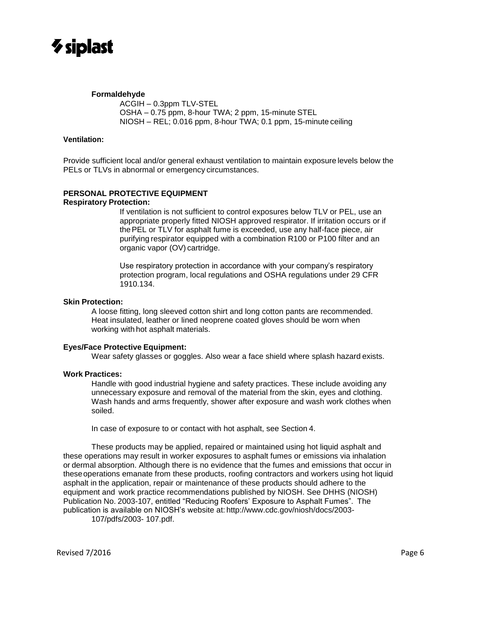

### **Formaldehyde**

ACGIH – 0.3ppm TLV-STEL OSHA – 0.75 ppm, 8-hour TWA; 2 ppm, 15-minute STEL NIOSH – REL; 0.016 ppm, 8-hour TWA; 0.1 ppm, 15-minute ceiling

### **Ventilation:**

Provide sufficient local and/or general exhaust ventilation to maintain exposure levels below the PELs or TLVs in abnormal or emergency circumstances.

### **PERSONAL PROTECTIVE EQUIPMENT**

### **Respiratory Protection:**

If ventilation is not sufficient to control exposures below TLV or PEL, use an appropriate properly fitted NIOSH approved respirator. If irritation occurs or if thePEL or TLV for asphalt fume is exceeded, use any half-face piece, air purifying respirator equipped with a combination R100 or P100 filter and an organic vapor (OV) cartridge.

Use respiratory protection in accordance with your company's respiratory protection program, local regulations and OSHA regulations under 29 CFR 1910.134.

### **Skin Protection:**

A loose fitting, long sleeved cotton shirt and long cotton pants are recommended. Heat insulated, leather or lined neoprene coated gloves should be worn when working with hot asphalt materials.

### **Eyes/Face Protective Equipment:**

Wear safety glasses or goggles. Also wear a face shield where splash hazard exists.

### **Work Practices:**

Handle with good industrial hygiene and safety practices. These include avoiding any unnecessary exposure and removal of the material from the skin, eyes and clothing. Wash hands and arms frequently, shower after exposure and wash work clothes when soiled.

In case of exposure to or contact with hot asphalt, see Section 4.

These products may be applied, repaired or maintained using hot liquid asphalt and these operations may result in worker exposures to asphalt fumes or emissions via inhalation or dermal absorption. Although there is no evidence that the fumes and emissions that occur in theseoperations emanate from these products, roofing contractors and workers using hot liquid asphalt in the application, repair or maintenance of these products should adhere to the equipment and work practice recommendations published by NIOSH. See DHHS (NIOSH) Publication No. 2003-107, entitled "Reducing Roofers' Exposure to Asphalt Fumes". The publication is available on NIOSH's website at: [http://www.cdc.gov/niosh/docs/2003-](http://www.cdc.gov/niosh/docs/2003-107/pdfs/2003-) [107/pdfs/2003-](http://www.cdc.gov/niosh/docs/2003-107/pdfs/2003-) 107.pdf.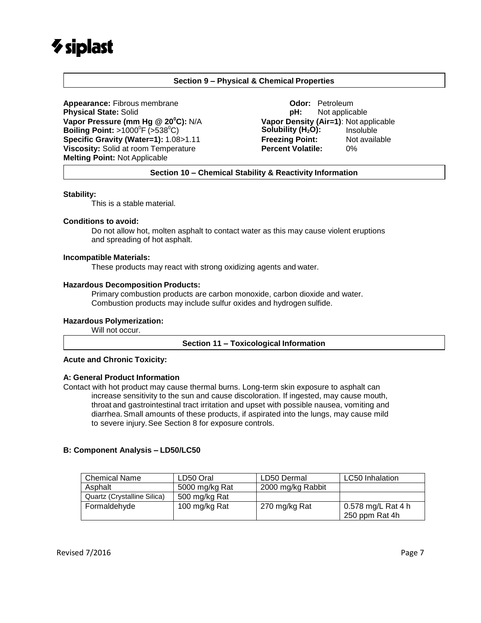# $\gamma$  siplast

### **Section 9 – Physical & Chemical Properties**

Appearance: Fibrous membrane **Constanting Constanting Constanting Odor:** Petroleum **Physical State:** Solid **pH:** Not applicable **Vapor Pressure (mm Hg @ 20<sup>0</sup>C):** N/A **Vapor Density (Air=1)**: Not applicable **Boiling Point:**  $>1000^{\circ}$  F ( $>538^{\circ}$ C) **Solubility (H<sub>2</sub>O):** Insoluble **Specific Gravity (Water=1):** 1.08>1.11 **Freezing Point:** Not available **Viscosity:** Solid at room Temperature **Percent Volatile:** 0% **Melting Point:** Not Applicable

**Section 10 – Chemical Stability & Reactivity Information**

### **Stability:**

This is a stable material.

### **Conditions to avoid:**

Do not allow hot, molten asphalt to contact water as this may cause violent eruptions and spreading of hot asphalt.

### **Incompatible Materials:**

These products may react with strong oxidizing agents and water.

### **Hazardous Decomposition Products:**

Primary combustion products are carbon monoxide, carbon dioxide and water. Combustion products may include sulfur oxides and hydrogen sulfide.

### **Hazardous Polymerization:**

Will not occur.

### **Section 11 – Toxicological Information**

### **Acute and Chronic Toxicity:**

### **A: General Product Information**

Contact with hot product may cause thermal burns. Long-term skin exposure to asphalt can increase sensitivity to the sun and cause discoloration. If ingested, may cause mouth, throat and gastrointestinal tract irritation and upset with possible nausea, vomiting and diarrhea.Small amounts of these products, if aspirated into the lungs, may cause mild to severe injury.See Section 8 for exposure controls.

### **B: Component Analysis – LD50/LC50**

| <b>Chemical Name</b>        | LD50 Oral      | LD50 Dermal       | <b>LC50</b> Inhalation               |
|-----------------------------|----------------|-------------------|--------------------------------------|
| Asphalt                     | 5000 mg/kg Rat | 2000 mg/kg Rabbit |                                      |
| Quartz (Crystalline Silica) | 500 mg/kg Rat  |                   |                                      |
| Formaldehyde                | 100 mg/kg Rat  | 270 mg/kg Rat     | 0.578 mg/L Rat 4 h<br>250 ppm Rat 4h |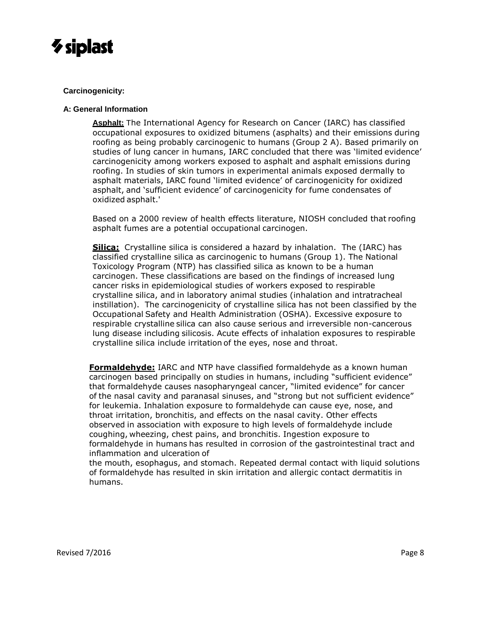

### **Carcinogenicity:**

### **A: General Information**

**Asphalt:** The International Agency for Research on Cancer (IARC) has classified occupational exposures to oxidized bitumens (asphalts) and their emissions during roofing as being probably carcinogenic to humans (Group 2 A). Based primarily on studies of lung cancer in humans, IARC concluded that there was 'limited evidence' carcinogenicity among workers exposed to asphalt and asphalt emissions during roofing. In studies of skin tumors in experimental animals exposed dermally to asphalt materials, IARC found 'limited evidence' of carcinogenicity for oxidized asphalt, and 'sufficient evidence' of carcinogenicity for fume condensates of oxidized asphalt.'

Based on a 2000 review of health effects literature, NIOSH concluded that roofing asphalt fumes are a potential occupational carcinogen.

**Silica:** Crystalline silica is considered a hazard by inhalation. The (IARC) has classified crystalline silica as carcinogenic to humans (Group 1). The National Toxicology Program (NTP) has classified silica as known to be a human carcinogen. These classifications are based on the findings of increased lung cancer risks in epidemiological studies of workers exposed to respirable crystalline silica, and in laboratory animal studies (inhalation and intratracheal instillation). The carcinogenicity of crystalline silica has not been classified by the Occupational Safety and Health Administration (OSHA). Excessive exposure to respirable crystalline silica can also cause serious and irreversible non-cancerous lung disease including silicosis. Acute effects of inhalation exposures to respirable crystalline silica include irritation of the eyes, nose and throat.

**Formaldehyde:** IARC and NTP have classified formaldehyde as a known human carcinogen based principally on studies in humans, including "sufficient evidence" that formaldehyde causes nasopharyngeal cancer, "limited evidence" for cancer of the nasal cavity and paranasal sinuses, and "strong but not sufficient evidence" for leukemia. Inhalation exposure to formaldehyde can cause eye, nose, and throat irritation, bronchitis, and effects on the nasal cavity. Other effects observed in association with exposure to high levels of formaldehyde include coughing, wheezing, chest pains, and bronchitis. Ingestion exposure to formaldehyde in humans has resulted in corrosion of the gastrointestinal tract and inflammation and ulceration of

the mouth, esophagus, and stomach. Repeated dermal contact with liquid solutions of formaldehyde has resulted in skin irritation and allergic contact dermatitis in humans.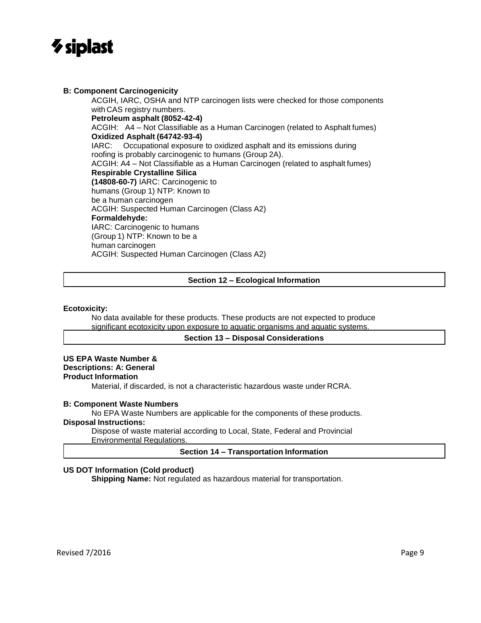

### **B: Component Carcinogenicity**

ACGIH, IARC, OSHA and NTP carcinogen lists were checked for those components with CAS registry numbers. **Petroleum asphalt (8052-42-4)** ACGIH: A4 – Not Classifiable as a Human Carcinogen (related to Asphalt fumes) **Oxidized Asphalt (64742-93-4)** IARC: Occupational exposure to oxidized asphalt and its emissions during roofing is probably carcinogenic to humans (Group 2A). ACGIH: A4 – Not Classifiable as a Human Carcinogen (related to asphalt fumes) **Respirable Crystalline Silica (14808-60-7)** IARC: Carcinogenic to humans (Group 1) NTP: Known to be a human carcinogen ACGIH: Suspected Human Carcinogen (Class A2) **Formaldehyde:** IARC: Carcinogenic to humans (Group 1) NTP: Known to be a human carcinogen ACGIH: Suspected Human Carcinogen (Class A2)

### **Section 12 – Ecological Information**

### **Ecotoxicity:**

No data available for these products. These products are not expected to produce significant ecotoxicity upon exposure to aquatic organisms and aquatic systems.

### **Section 13 – Disposal Considerations**

### **US EPA Waste Number &**

## **Descriptions: A: General**

**Product Information**

Material, if discarded, is not a characteristic hazardous waste under RCRA.

### **B: Component Waste Numbers**

No EPA Waste Numbers are applicable for the components of these products.

### **Disposal Instructions:**

Dispose of waste material according to Local, State, Federal and Provincial Environmental Regulations.

### **Section 14 – Transportation Information**

### **US DOT Information (Cold product)**

**Shipping Name:** Not regulated as hazardous material for transportation.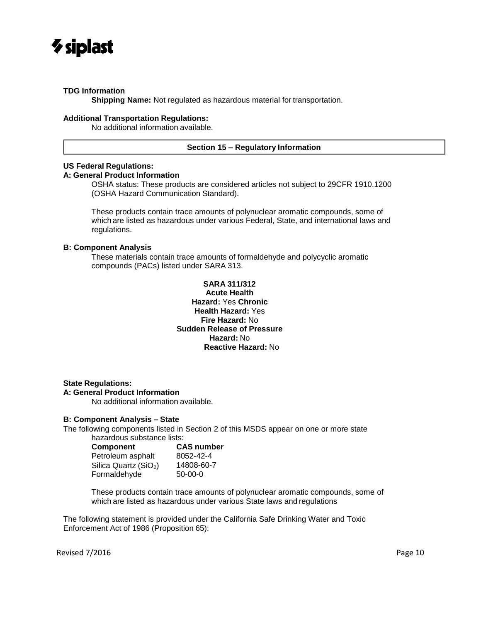

### **TDG Information**

**Shipping Name:** Not regulated as hazardous material for transportation.

### **Additional Transportation Regulations:**

No additional information available.

### **Section 15 – Regulatory Information**

### **US Federal Regulations:**

### **A: General Product Information**

OSHA status: These products are considered articles not subject to 29CFR 1910.1200 (OSHA Hazard Communication Standard).

These products contain trace amounts of polynuclear aromatic compounds, some of which are listed as hazardous under various Federal, State, and international laws and regulations.

### **B: Component Analysis**

These materials contain trace amounts of formaldehyde and polycyclic aromatic compounds (PACs) listed under SARA 313.

### **SARA 311/312 Acute Health Hazard:** Yes **Chronic Health Hazard:** Yes **Fire Hazard:** No **Sudden Release of Pressure Hazard:** No **Reactive Hazard:** No

**State Regulations: A: General Product Information**

No additional information available.

### **B: Component Analysis – State**

The following components listed in Section 2 of this MSDS appear on one or more state hazardous substance lists:

| Component                         | <b>CAS number</b> |  |  |
|-----------------------------------|-------------------|--|--|
| Petroleum asphalt                 | 8052-42-4         |  |  |
| Silica Quartz (SiO <sub>2</sub> ) | 14808-60-7        |  |  |
| Formaldehyde                      | $50-00-0$         |  |  |

These products contain trace amounts of polynuclear aromatic compounds, some of which are listed as hazardous under various State laws and regulations

The following statement is provided under the California Safe Drinking Water and Toxic Enforcement Act of 1986 (Proposition 65):

Revised 7/2016 **Page 10**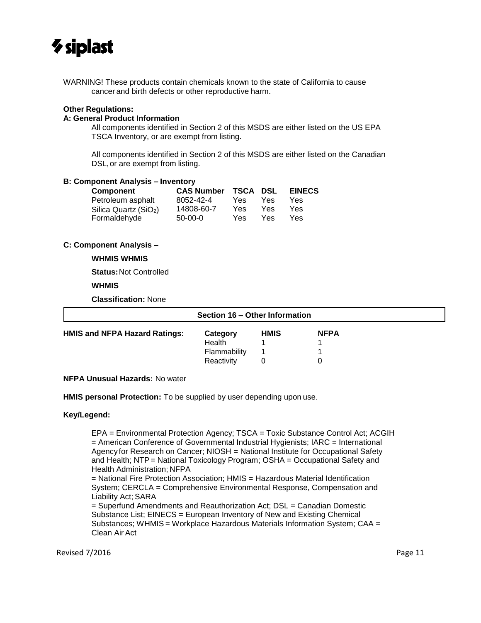

WARNING! These products contain chemicals known to the state of California to cause cancer and birth defects or other reproductive harm.

### **Other Regulations:**

### **A: General Product Information**

All components identified in Section 2 of this MSDS are either listed on the US EPA TSCA Inventory, or are exempt from listing.

All components identified in Section 2 of this MSDS are either listed on the Canadian DSL,or are exempt from listing.

### **B: Component Analysis – Inventory**

| <b>Component</b>                  | <b>CAS Number</b> | <b>TSCA DSL</b> |     | <b>EINECS</b> |  |
|-----------------------------------|-------------------|-----------------|-----|---------------|--|
| Petroleum asphalt                 | 8052-42-4         | Yes             | Yes | Yes           |  |
| Silica Quartz (SiO <sub>2</sub> ) | 14808-60-7        | Yes             | Yes | Yes           |  |
| Formaldehyde                      | $50-00-0$         | Yes             | Yes | Yes           |  |

### **C: Component Analysis –**

### **WHMIS WHMIS**

**Status:**Not Controlled

### **WHMIS**

**Classification:** None

| Section 16 – Other Information       |              |             |             |  |
|--------------------------------------|--------------|-------------|-------------|--|
| <b>HMIS and NFPA Hazard Ratings:</b> | Category     | <b>HMIS</b> | <b>NFPA</b> |  |
|                                      | Health       |             |             |  |
|                                      | Flammability |             |             |  |
|                                      | Reactivity   |             |             |  |

### **NFPA Unusual Hazards:** No water

**HMIS personal Protection:** To be supplied by user depending upon use.

### **Key/Legend:**

EPA = Environmental Protection Agency; TSCA = Toxic Substance Control Act; ACGIH = American Conference of Governmental Industrial Hygienists; IARC = International Agency for Research on Cancer; NIOSH = National Institute for Occupational Safety and Health; NTP = National Toxicology Program; OSHA = Occupational Safety and Health Administration; NFPA

= National Fire Protection Association; HMIS = Hazardous Material Identification System; CERCLA = Comprehensive Environmental Response, Compensation and Liability Act; SARA

= Superfund Amendments and Reauthorization Act; DSL = Canadian Domestic Substance List; EINECS = European Inventory of New and Existing Chemical Substances; WHMIS = Workplace Hazardous Materials Information System; CAA = Clean Air Act